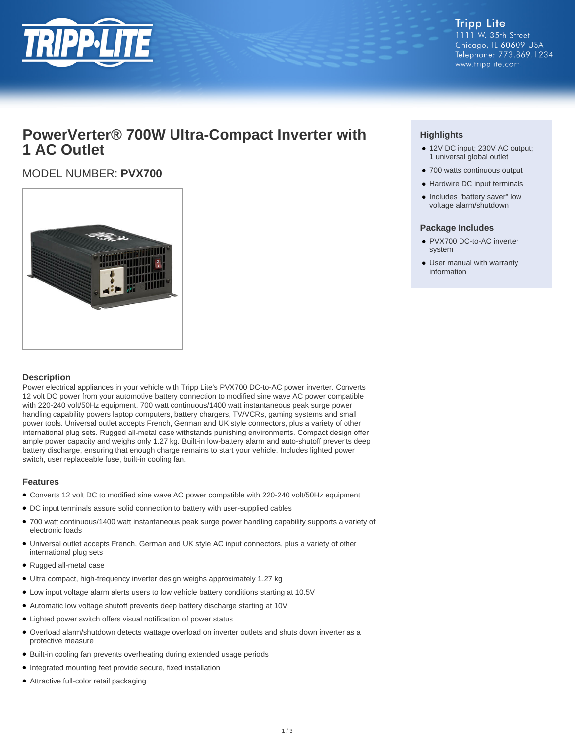

**Tripp Lite** 1111 W. 35th Street Chicago, IL 60609 USA Telephone: 773.869.1234 www.tripplite.com

## **PowerVerter® 700W Ultra-Compact Inverter with 1 AC Outlet**

### MODEL NUMBER: **PVX700**



#### **Description**

Power electrical appliances in your vehicle with Tripp Lite's PVX700 DC-to-AC power inverter. Converts 12 volt DC power from your automotive battery connection to modified sine wave AC power compatible with 220-240 volt/50Hz equipment. 700 watt continuous/1400 watt instantaneous peak surge power handling capability powers laptop computers, battery chargers, TV/VCRs, gaming systems and small power tools. Universal outlet accepts French, German and UK style connectors, plus a variety of other international plug sets. Rugged all-metal case withstands punishing environments. Compact design offer ample power capacity and weighs only 1.27 kg. Built-in low-battery alarm and auto-shutoff prevents deep battery discharge, ensuring that enough charge remains to start your vehicle. Includes lighted power switch, user replaceable fuse, built-in cooling fan.

#### **Features**

- Converts 12 volt DC to modified sine wave AC power compatible with 220-240 volt/50Hz equipment
- DC input terminals assure solid connection to battery with user-supplied cables
- 700 watt continuous/1400 watt instantaneous peak surge power handling capability supports a variety of electronic loads
- Universal outlet accepts French, German and UK style AC input connectors, plus a variety of other international plug sets
- Rugged all-metal case
- Ultra compact, high-frequency inverter design weighs approximately 1.27 kg
- Low input voltage alarm alerts users to low vehicle battery conditions starting at 10.5V
- Automatic low voltage shutoff prevents deep battery discharge starting at 10V
- Lighted power switch offers visual notification of power status
- Overload alarm/shutdown detects wattage overload on inverter outlets and shuts down inverter as a protective measure
- Built-in cooling fan prevents overheating during extended usage periods
- Integrated mounting feet provide secure, fixed installation
- Attractive full-color retail packaging

#### **Highlights**

- 12V DC input; 230V AC output; 1 universal global outlet
- 700 watts continuous output
- Hardwire DC input terminals
- Includes "battery saver" low voltage alarm/shutdown

#### **Package Includes**

- PVX700 DC-to-AC inverter system
- User manual with warranty information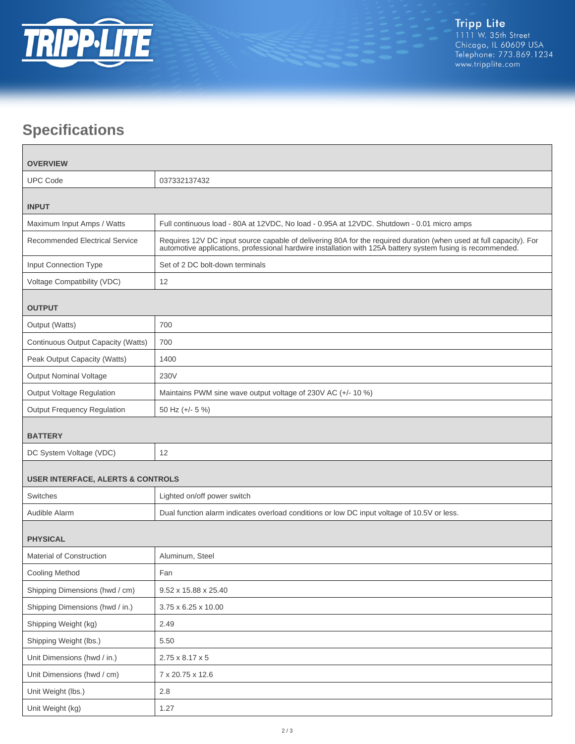

# **Specifications**

| <b>OVERVIEW</b>                              |                                                                                                                                                                                                                                |  |
|----------------------------------------------|--------------------------------------------------------------------------------------------------------------------------------------------------------------------------------------------------------------------------------|--|
| <b>UPC Code</b>                              | 037332137432                                                                                                                                                                                                                   |  |
| <b>INPUT</b>                                 |                                                                                                                                                                                                                                |  |
| Maximum Input Amps / Watts                   | Full continuous load - 80A at 12VDC, No load - 0.95A at 12VDC. Shutdown - 0.01 micro amps                                                                                                                                      |  |
| <b>Recommended Electrical Service</b>        | Requires 12V DC input source capable of delivering 80A for the required duration (when used at full capacity). For automotive applications, professional hardwire installation with 125A battery system fusing is recommended. |  |
| Input Connection Type                        | Set of 2 DC bolt-down terminals                                                                                                                                                                                                |  |
| Voltage Compatibility (VDC)                  | 12                                                                                                                                                                                                                             |  |
| <b>OUTPUT</b>                                |                                                                                                                                                                                                                                |  |
| Output (Watts)                               | 700                                                                                                                                                                                                                            |  |
| Continuous Output Capacity (Watts)           | 700                                                                                                                                                                                                                            |  |
| Peak Output Capacity (Watts)                 | 1400                                                                                                                                                                                                                           |  |
| <b>Output Nominal Voltage</b>                | 230V                                                                                                                                                                                                                           |  |
| Output Voltage Regulation                    | Maintains PWM sine wave output voltage of 230V AC (+/- 10 %)                                                                                                                                                                   |  |
| <b>Output Frequency Regulation</b>           | 50 Hz (+/- 5 %)                                                                                                                                                                                                                |  |
| <b>BATTERY</b>                               |                                                                                                                                                                                                                                |  |
| DC System Voltage (VDC)                      | 12                                                                                                                                                                                                                             |  |
| <b>USER INTERFACE, ALERTS &amp; CONTROLS</b> |                                                                                                                                                                                                                                |  |
| Switches                                     | Lighted on/off power switch                                                                                                                                                                                                    |  |
| Audible Alarm                                | Dual function alarm indicates overload conditions or low DC input voltage of 10.5V or less.                                                                                                                                    |  |
| <b>PHYSICAL</b>                              |                                                                                                                                                                                                                                |  |
| <b>Material of Construction</b>              | Aluminum, Steel                                                                                                                                                                                                                |  |
| Cooling Method                               | Fan                                                                                                                                                                                                                            |  |
| Shipping Dimensions (hwd / cm)               | 9.52 x 15.88 x 25.40                                                                                                                                                                                                           |  |
| Shipping Dimensions (hwd / in.)              | 3.75 x 6.25 x 10.00                                                                                                                                                                                                            |  |
| Shipping Weight (kg)                         | 2.49                                                                                                                                                                                                                           |  |
| Shipping Weight (lbs.)                       | 5.50                                                                                                                                                                                                                           |  |
| Unit Dimensions (hwd / in.)                  | 2.75 x 8.17 x 5                                                                                                                                                                                                                |  |
| Unit Dimensions (hwd / cm)                   | 7 x 20.75 x 12.6                                                                                                                                                                                                               |  |
| Unit Weight (lbs.)                           | 2.8                                                                                                                                                                                                                            |  |
| Unit Weight (kg)                             | 1.27                                                                                                                                                                                                                           |  |